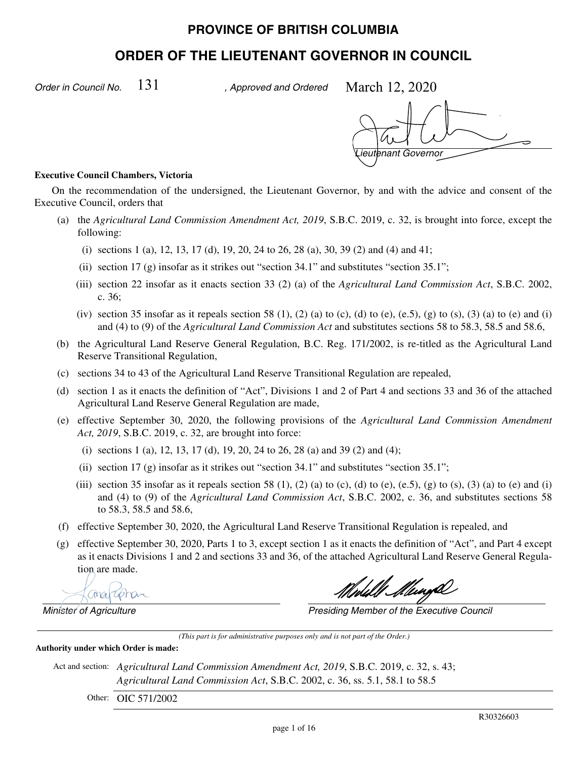# **PROVINCE OF BRITISH COLUMBIA**

# **ORDER OF THE LIEUTENANT GOVERNOR IN COUNCIL**

*Order in Council No.*  $131$  , Approved and Ordered

March 12, 2020

*Lieutenant Governor*

#### **Executive Council Chambers, Victoria**

On the recommendation of the undersigned, the Lieutenant Governor, by and with the advice and consent of the Executive Council, orders that

- (a) the *Agricultural Land Commission Amendment Act, 2019*, S.B.C. 2019, c. 32, is brought into force, except the following:
	- (i) sections 1 (a), 12, 13, 17 (d), 19, 20, 24 to 26, 28 (a), 30, 39 (2) and (4) and 41;
	- (ii) section 17 (g) insofar as it strikes out "section  $34.1$ " and substitutes "section  $35.1$ ";
	- (iii) section 22 insofar as it enacts section 33 (2) (a) of the *Agricultural Land Commission Act*, S.B.C. 2002, c. 36;
	- (iv) section 35 insofar as it repeals section 58 (1), (2) (a) to (c), (d) to (e), (e.5), (g) to (s), (3) (a) to (e) and (i) and (4) to (9) of the *Agricultural Land Commission Act* and substitutes sections 58 to 58.3, 58.5 and 58.6,
- (b) the Agricultural Land Reserve General Regulation, B.C. Reg. 171/2002, is re-titled as the Agricultural Land Reserve Transitional Regulation,
- (c) sections 34 to 43 of the Agricultural Land Reserve Transitional Regulation are repealed,
- (d) section 1 as it enacts the definition of "Act", Divisions 1 and 2 of Part 4 and sections 33 and 36 of the attached Agricultural Land Reserve General Regulation are made,
- (e) effective September 30, 2020, the following provisions of the *Agricultural Land Commission Amendment Act, 2019*, S.B.C. 2019, c. 32, are brought into force:
	- (i) sections 1 (a), 12, 13, 17 (d), 19, 20, 24 to 26, 28 (a) and 39 (2) and (4);
	- (ii) section 17 (g) insofar as it strikes out "section 34.1" and substitutes "section 35.1";
	- (iii) section 35 insofar as it repeals section 58 (1), (2) (a) to (c), (d) to (e), (e.5), (g) to (s), (3) (a) to (e) and (i) and (4) to (9) of the *Agricultural Land Commission Act*, S.B.C. 2002, c. 36, and substitutes sections 58 to 58.3, 58.5 and 58.6,
- (f) effective September 30, 2020, the Agricultural Land Reserve Transitional Regulation is repealed, and
- (g) effective September 30, 2020, Parts 1 to 3, except section 1 as it enacts the definition of "Act", and Part 4 except as it enacts Divisions 1 and 2 and sections 33 and 36, of the attached Agricultural Land Reserve General Regulation are made.

Chra

Ull Mungh

*Minister of Agriculture Presiding Member of the Executive Council*

*(This part is for administrative purposes only and is not part of the Order.)*

**Authority under which Order is made:**

Act and section: *Agricultural Land Commission Amendment Act, 2019*, S.B.C. 2019, c. 32, s. 43; *Agricultural Land Commission Act*, S.B.C. 2002, c. 36, ss. 5.1, 58.1 to 58.5

Other: OIC 571/2002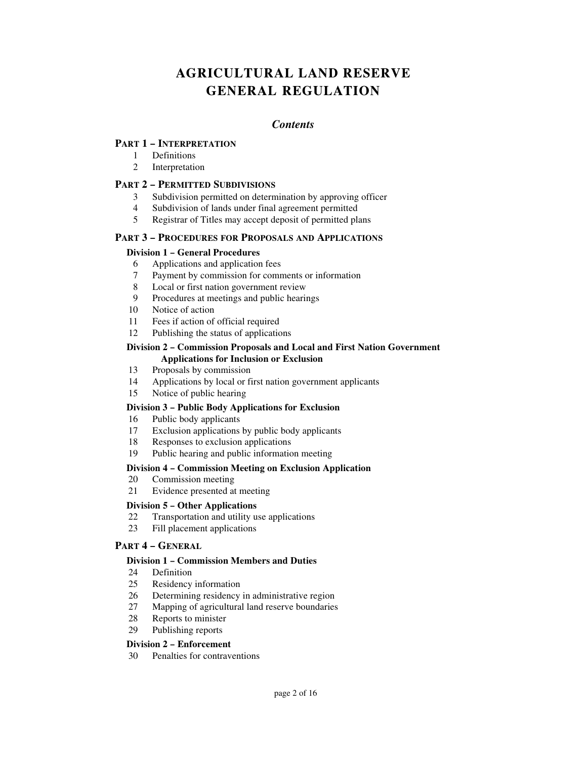# **AGRICULTURAL LAND RESERVE GENERAL REGULATION**

# *Contents*

### **PART 1 – INTERPRETATION**

- 1 Definitions
- 2 Interpretation

### **PART 2 – PERMITTED SUBDIVISIONS**

- 3 Subdivision permitted on determination by approving officer
- 4 Subdivision of lands under final agreement permitted
- 5 Registrar of Titles may accept deposit of permitted plans

#### **PART 3 – PROCEDURES FOR PROPOSALS AND APPLICATIONS**

#### **Division 1 – General Procedures**

- 6 Applications and application fees
- 7 Payment by commission for comments or information
- 8 Local or first nation government review
- 9 Procedures at meetings and public hearings
- 10 Notice of action
- 11 Fees if action of official required
- 12 Publishing the status of applications

#### **Division 2 – Commission Proposals and Local and First Nation Government Applications for Inclusion or Exclusion**

- 13 Proposals by commission
- 14 Applications by local or first nation government applicants
- 15 Notice of public hearing

#### **Division 3 – Public Body Applications for Exclusion**

- 16 Public body applicants
- 17 Exclusion applications by public body applicants
- 18 Responses to exclusion applications
- 19 Public hearing and public information meeting

#### **Division 4 – Commission Meeting on Exclusion Application**

- 20 Commission meeting
- 21 Evidence presented at meeting

#### **Division 5 – Other Applications**

- 22 Transportation and utility use applications
- 23 Fill placement applications

#### **PART 4 – GENERAL**

#### **Division 1 – Commission Members and Duties**

- 24 Definition
- 25 Residency information
- 26 Determining residency in administrative region
- 27 Mapping of agricultural land reserve boundaries
- 28 Reports to minister
- 29 Publishing reports

#### **Division 2 – Enforcement**

30 Penalties for contraventions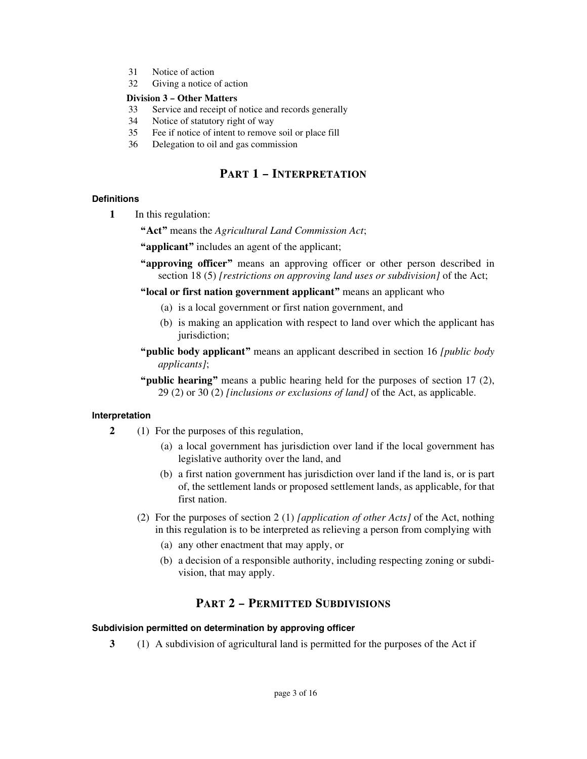- 31 Notice of action
- 32 Giving a notice of action

#### **Division 3 – Other Matters**

- 33 Service and receipt of notice and records generally
- 34 Notice of statutory right of way
- 35 Fee if notice of intent to remove soil or place fill
- 36 Delegation to oil and gas commission

# **PART 1 – INTERPRETATION**

# **Definitions**

**1** In this regulation:

**"Act"** means the *Agricultural Land Commission Act*;

- **"applicant"** includes an agent of the applicant;
- **"approving officer"** means an approving officer or other person described in section 18 (5) *[restrictions on approving land uses or subdivision]* of the Act;

**"local or first nation government applicant"** means an applicant who

- (a) is a local government or first nation government, and
- (b) is making an application with respect to land over which the applicant has jurisdiction;
- **"public body applicant"** means an applicant described in section 16 *[public body applicants]*;
- **"public hearing"** means a public hearing held for the purposes of section 17 (2), 29 (2) or 30 (2) *[inclusions or exclusions of land]* of the Act, as applicable.

# **Interpretation**

- **2** (1) For the purposes of this regulation,
	- (a) a local government has jurisdiction over land if the local government has legislative authority over the land, and
	- (b) a first nation government has jurisdiction over land if the land is, or is part of, the settlement lands or proposed settlement lands, as applicable, for that first nation.
	- (2) For the purposes of section 2 (1) *[application of other Acts]* of the Act, nothing in this regulation is to be interpreted as relieving a person from complying with
		- (a) any other enactment that may apply, or
		- (b) a decision of a responsible authority, including respecting zoning or subdivision, that may apply.

# **PART 2 – PERMITTED SUBDIVISIONS**

#### **Subdivision permitted on determination by approving officer**

**3** (1) A subdivision of agricultural land is permitted for the purposes of the Act if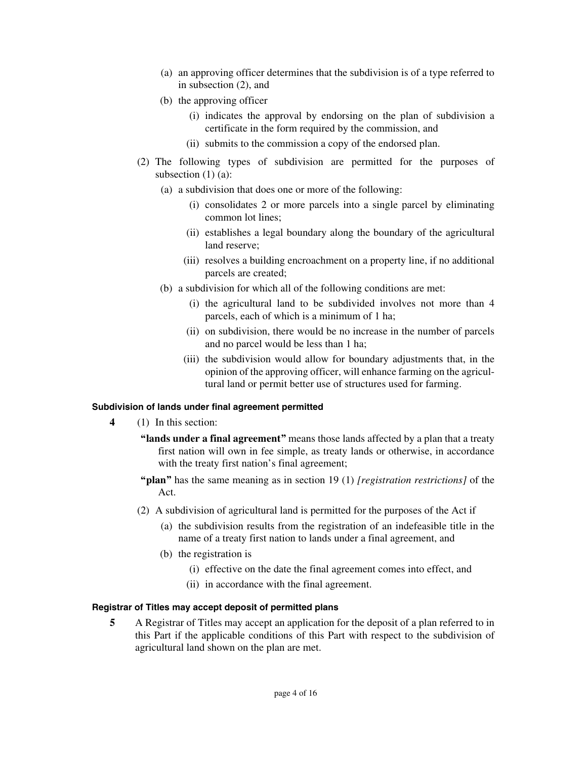- (a) an approving officer determines that the subdivision is of a type referred to in subsection (2), and
- (b) the approving officer
	- (i) indicates the approval by endorsing on the plan of subdivision a certificate in the form required by the commission, and
	- (ii) submits to the commission a copy of the endorsed plan.
- (2) The following types of subdivision are permitted for the purposes of subsection  $(1)$   $(a)$ :
	- (a) a subdivision that does one or more of the following:
		- (i) consolidates 2 or more parcels into a single parcel by eliminating common lot lines;
		- (ii) establishes a legal boundary along the boundary of the agricultural land reserve;
		- (iii) resolves a building encroachment on a property line, if no additional parcels are created;
	- (b) a subdivision for which all of the following conditions are met:
		- (i) the agricultural land to be subdivided involves not more than 4 parcels, each of which is a minimum of 1 ha;
		- (ii) on subdivision, there would be no increase in the number of parcels and no parcel would be less than 1 ha;
		- (iii) the subdivision would allow for boundary adjustments that, in the opinion of the approving officer, will enhance farming on the agricultural land or permit better use of structures used for farming.

# **Subdivision of lands under final agreement permitted**

- **4** (1) In this section:
	- **"lands under a final agreement"** means those lands affected by a plan that a treaty first nation will own in fee simple, as treaty lands or otherwise, in accordance with the treaty first nation's final agreement;
	- **"plan"** has the same meaning as in section 19 (1) *[registration restrictions]* of the Act.
	- (2) A subdivision of agricultural land is permitted for the purposes of the Act if
		- (a) the subdivision results from the registration of an indefeasible title in the name of a treaty first nation to lands under a final agreement, and
		- (b) the registration is
			- (i) effective on the date the final agreement comes into effect, and
			- (ii) in accordance with the final agreement.

#### **Registrar of Titles may accept deposit of permitted plans**

**5** A Registrar of Titles may accept an application for the deposit of a plan referred to in this Part if the applicable conditions of this Part with respect to the subdivision of agricultural land shown on the plan are met.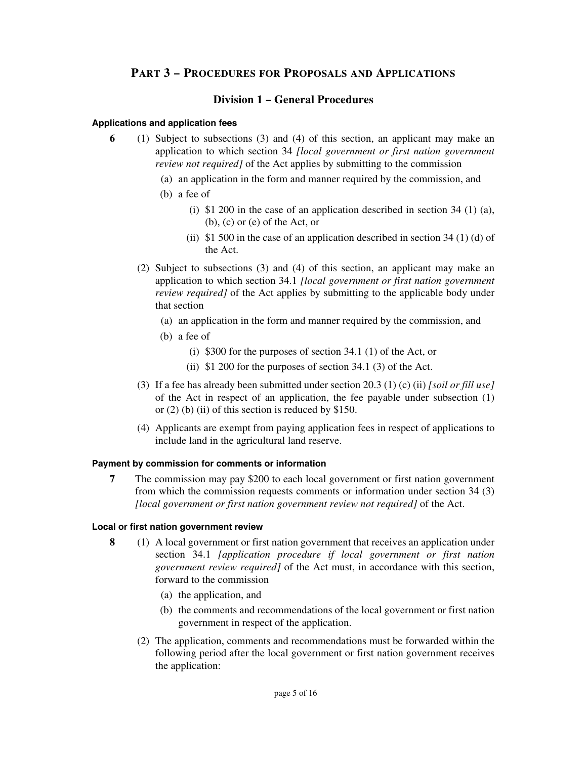# **PART 3 – PROCEDURES FOR PROPOSALS AND APPLICATIONS**

# **Division 1 – General Procedures**

#### **Applications and application fees**

- **6** (1) Subject to subsections (3) and (4) of this section, an applicant may make an application to which section 34 *[local government or first nation government review not required]* of the Act applies by submitting to the commission
	- (a) an application in the form and manner required by the commission, and
	- (b) a fee of
		- (i)  $$1 200$  in the case of an application described in section 34 (1) (a), (b), (c) or (e) of the Act, or
		- (ii)  $$1 500$  in the case of an application described in section 34 (1) (d) of the Act.
	- (2) Subject to subsections (3) and (4) of this section, an applicant may make an application to which section 34.1 *[local government or first nation government review required]* of the Act applies by submitting to the applicable body under that section
		- (a) an application in the form and manner required by the commission, and
		- (b) a fee of
			- (i) \$300 for the purposes of section 34.1 (1) of the Act, or
			- (ii) \$1 200 for the purposes of section 34.1 (3) of the Act.
	- (3) If a fee has already been submitted under section 20.3 (1) (c) (ii) *[soil or fill use]* of the Act in respect of an application, the fee payable under subsection (1) or  $(2)$  (b) (ii) of this section is reduced by \$150.
	- (4) Applicants are exempt from paying application fees in respect of applications to include land in the agricultural land reserve.

#### **Payment by commission for comments or information**

**7** The commission may pay \$200 to each local government or first nation government from which the commission requests comments or information under section 34 (3) *[local government or first nation government review not required]* of the Act.

#### **Local or first nation government review**

- **8** (1) A local government or first nation government that receives an application under section 34.1 *[application procedure if local government or first nation government review required]* of the Act must, in accordance with this section, forward to the commission
	- (a) the application, and
	- (b) the comments and recommendations of the local government or first nation government in respect of the application.
	- (2) The application, comments and recommendations must be forwarded within the following period after the local government or first nation government receives the application: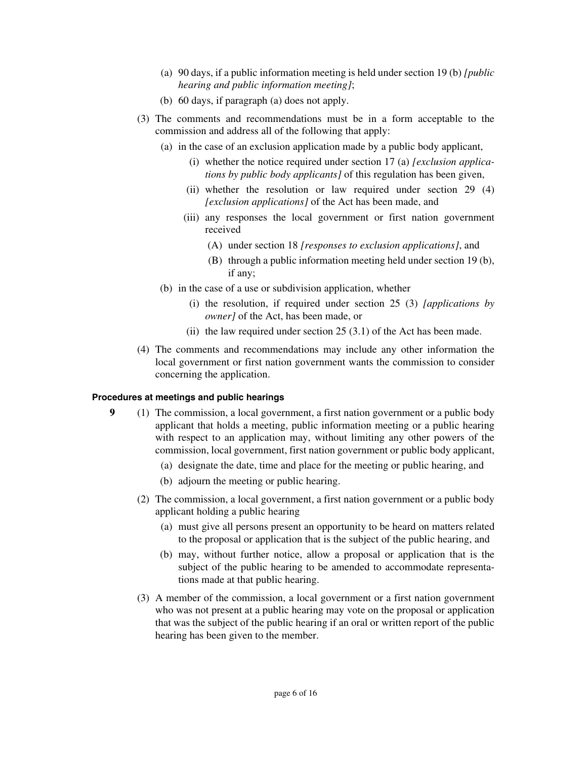- (a) 90 days, if a public information meeting is held under section 19 (b) *[public hearing and public information meeting]*;
- (b) 60 days, if paragraph (a) does not apply.
- (3) The comments and recommendations must be in a form acceptable to the commission and address all of the following that apply:
	- (a) in the case of an exclusion application made by a public body applicant,
		- (i) whether the notice required under section 17 (a) *[exclusion applications by public body applicants]* of this regulation has been given,
		- (ii) whether the resolution or law required under section 29 (4) *[exclusion applications]* of the Act has been made, and
		- (iii) any responses the local government or first nation government received
			- (A) under section 18 *[responses to exclusion applications]*, and
			- (B) through a public information meeting held under section 19 (b), if any;
	- (b) in the case of a use or subdivision application, whether
		- (i) the resolution, if required under section 25 (3) *[applications by owner]* of the Act, has been made, or
		- (ii) the law required under section  $25(3.1)$  of the Act has been made.
- (4) The comments and recommendations may include any other information the local government or first nation government wants the commission to consider concerning the application.

#### **Procedures at meetings and public hearings**

- **9** (1) The commission, a local government, a first nation government or a public body applicant that holds a meeting, public information meeting or a public hearing with respect to an application may, without limiting any other powers of the commission, local government, first nation government or public body applicant,
	- (a) designate the date, time and place for the meeting or public hearing, and
	- (b) adjourn the meeting or public hearing.
	- (2) The commission, a local government, a first nation government or a public body applicant holding a public hearing
		- (a) must give all persons present an opportunity to be heard on matters related to the proposal or application that is the subject of the public hearing, and
		- (b) may, without further notice, allow a proposal or application that is the subject of the public hearing to be amended to accommodate representations made at that public hearing.
	- (3) A member of the commission, a local government or a first nation government who was not present at a public hearing may vote on the proposal or application that was the subject of the public hearing if an oral or written report of the public hearing has been given to the member.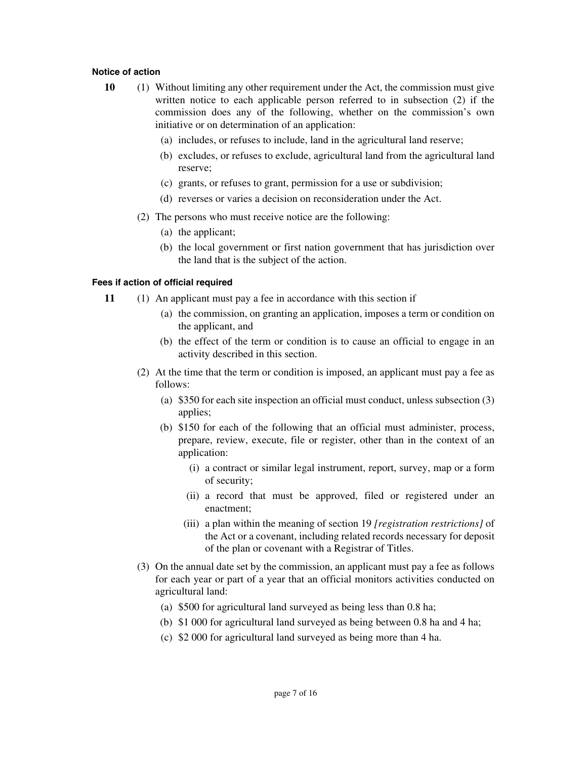#### **Notice of action**

- **10** (1) Without limiting any other requirement under the Act, the commission must give written notice to each applicable person referred to in subsection (2) if the commission does any of the following, whether on the commission's own initiative or on determination of an application:
	- (a) includes, or refuses to include, land in the agricultural land reserve;
	- (b) excludes, or refuses to exclude, agricultural land from the agricultural land reserve;
	- (c) grants, or refuses to grant, permission for a use or subdivision;
	- (d) reverses or varies a decision on reconsideration under the Act.
	- (2) The persons who must receive notice are the following:
		- (a) the applicant;
		- (b) the local government or first nation government that has jurisdiction over the land that is the subject of the action.

#### **Fees if action of official required**

- **11** (1) An applicant must pay a fee in accordance with this section if
	- (a) the commission, on granting an application, imposes a term or condition on the applicant, and
	- (b) the effect of the term or condition is to cause an official to engage in an activity described in this section.
	- (2) At the time that the term or condition is imposed, an applicant must pay a fee as follows:
		- (a) \$350 for each site inspection an official must conduct, unless subsection (3) applies;
		- (b) \$150 for each of the following that an official must administer, process, prepare, review, execute, file or register, other than in the context of an application:
			- (i) a contract or similar legal instrument, report, survey, map or a form of security;
			- (ii) a record that must be approved, filed or registered under an enactment;
			- (iii) a plan within the meaning of section 19 *[registration restrictions]* of the Act or a covenant, including related records necessary for deposit of the plan or covenant with a Registrar of Titles.
	- (3) On the annual date set by the commission, an applicant must pay a fee as follows for each year or part of a year that an official monitors activities conducted on agricultural land:
		- (a) \$500 for agricultural land surveyed as being less than 0.8 ha;
		- (b) \$1 000 for agricultural land surveyed as being between 0.8 ha and 4 ha;
		- (c) \$2 000 for agricultural land surveyed as being more than 4 ha.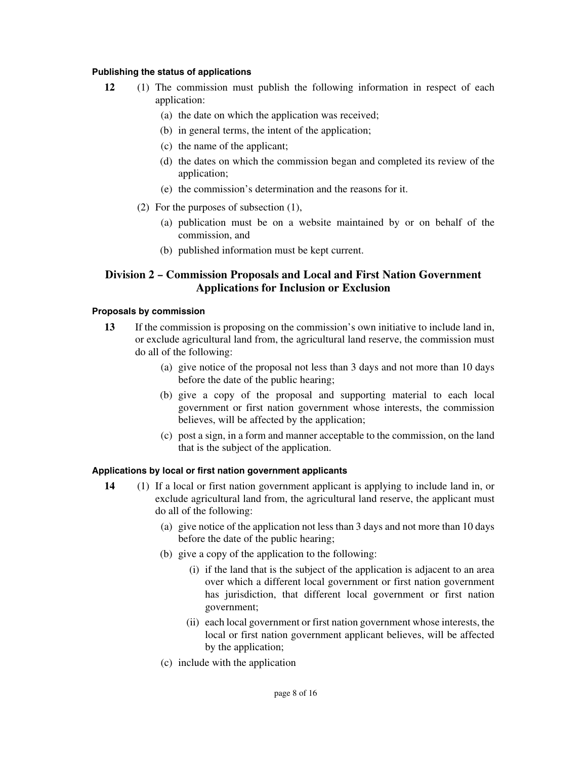#### **Publishing the status of applications**

- **12** (1) The commission must publish the following information in respect of each application:
	- (a) the date on which the application was received;
	- (b) in general terms, the intent of the application;
	- (c) the name of the applicant;
	- (d) the dates on which the commission began and completed its review of the application;
	- (e) the commission's determination and the reasons for it.
	- (2) For the purposes of subsection (1),
		- (a) publication must be on a website maintained by or on behalf of the commission, and
		- (b) published information must be kept current.

# **Division 2 – Commission Proposals and Local and First Nation Government Applications for Inclusion or Exclusion**

### **Proposals by commission**

- **13** If the commission is proposing on the commission's own initiative to include land in, or exclude agricultural land from, the agricultural land reserve, the commission must do all of the following:
	- (a) give notice of the proposal not less than 3 days and not more than 10 days before the date of the public hearing;
	- (b) give a copy of the proposal and supporting material to each local government or first nation government whose interests, the commission believes, will be affected by the application;
	- (c) post a sign, in a form and manner acceptable to the commission, on the land that is the subject of the application.

#### **Applications by local or first nation government applicants**

- **14** (1) If a local or first nation government applicant is applying to include land in, or exclude agricultural land from, the agricultural land reserve, the applicant must do all of the following:
	- (a) give notice of the application not less than 3 days and not more than 10 days before the date of the public hearing;
	- (b) give a copy of the application to the following:
		- (i) if the land that is the subject of the application is adjacent to an area over which a different local government or first nation government has jurisdiction, that different local government or first nation government;
		- (ii) each local government or first nation government whose interests, the local or first nation government applicant believes, will be affected by the application;
	- (c) include with the application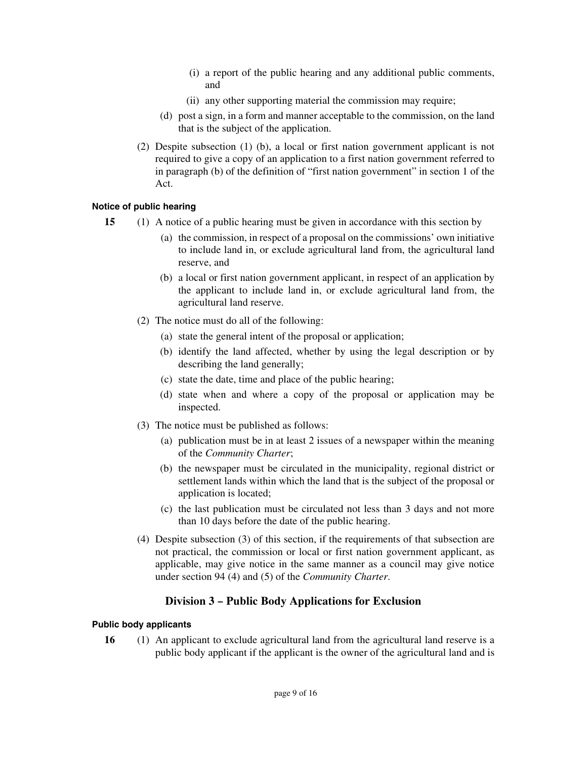- (i) a report of the public hearing and any additional public comments, and
- (ii) any other supporting material the commission may require;
- (d) post a sign, in a form and manner acceptable to the commission, on the land that is the subject of the application.
- (2) Despite subsection (1) (b), a local or first nation government applicant is not required to give a copy of an application to a first nation government referred to in paragraph (b) of the definition of "first nation government" in section 1 of the Act.

# **Notice of public hearing**

- **15** (1) A notice of a public hearing must be given in accordance with this section by
	- (a) the commission, in respect of a proposal on the commissions' own initiative to include land in, or exclude agricultural land from, the agricultural land reserve, and
	- (b) a local or first nation government applicant, in respect of an application by the applicant to include land in, or exclude agricultural land from, the agricultural land reserve.
	- (2) The notice must do all of the following:
		- (a) state the general intent of the proposal or application;
		- (b) identify the land affected, whether by using the legal description or by describing the land generally;
		- (c) state the date, time and place of the public hearing;
		- (d) state when and where a copy of the proposal or application may be inspected.
	- (3) The notice must be published as follows:
		- (a) publication must be in at least 2 issues of a newspaper within the meaning of the *Community Charter*;
		- (b) the newspaper must be circulated in the municipality, regional district or settlement lands within which the land that is the subject of the proposal or application is located;
		- (c) the last publication must be circulated not less than 3 days and not more than 10 days before the date of the public hearing.
	- (4) Despite subsection (3) of this section, if the requirements of that subsection are not practical, the commission or local or first nation government applicant, as applicable, may give notice in the same manner as a council may give notice under section 94 (4) and (5) of the *Community Charter*.

# **Division 3 – Public Body Applications for Exclusion**

# **Public body applicants**

**16** (1) An applicant to exclude agricultural land from the agricultural land reserve is a public body applicant if the applicant is the owner of the agricultural land and is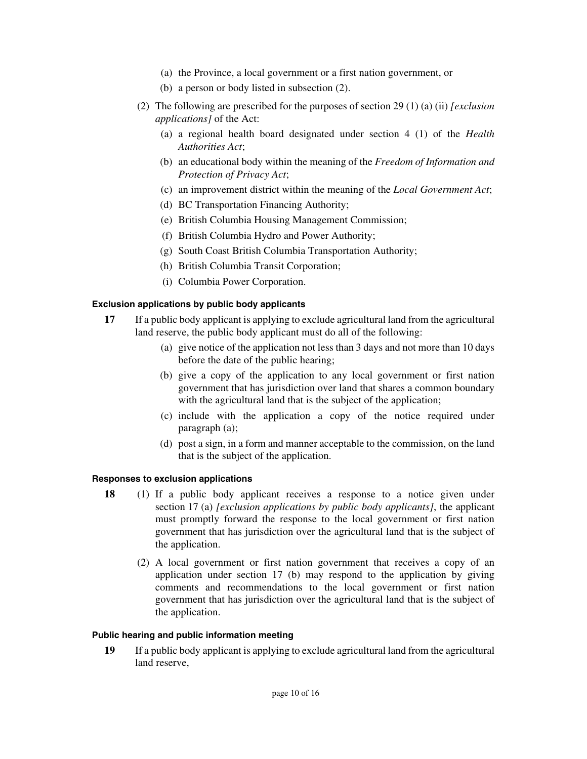- (a) the Province, a local government or a first nation government, or
- (b) a person or body listed in subsection (2).
- (2) The following are prescribed for the purposes of section 29 (1) (a) (ii) *[exclusion applications]* of the Act:
	- (a) a regional health board designated under section 4 (1) of the *Health Authorities Act*;
	- (b) an educational body within the meaning of the *Freedom of Information and Protection of Privacy Act*;
	- (c) an improvement district within the meaning of the *Local Government Act*;
	- (d) BC Transportation Financing Authority;
	- (e) British Columbia Housing Management Commission;
	- (f) British Columbia Hydro and Power Authority;
	- (g) South Coast British Columbia Transportation Authority;
	- (h) British Columbia Transit Corporation;
	- (i) Columbia Power Corporation.

#### **Exclusion applications by public body applicants**

- **17** If a public body applicant is applying to exclude agricultural land from the agricultural land reserve, the public body applicant must do all of the following:
	- (a) give notice of the application not less than 3 days and not more than 10 days before the date of the public hearing;
	- (b) give a copy of the application to any local government or first nation government that has jurisdiction over land that shares a common boundary with the agricultural land that is the subject of the application;
	- (c) include with the application a copy of the notice required under paragraph (a);
	- (d) post a sign, in a form and manner acceptable to the commission, on the land that is the subject of the application.

#### **Responses to exclusion applications**

- **18** (1) If a public body applicant receives a response to a notice given under section 17 (a) *[exclusion applications by public body applicants]*, the applicant must promptly forward the response to the local government or first nation government that has jurisdiction over the agricultural land that is the subject of the application.
	- (2) A local government or first nation government that receives a copy of an application under section 17 (b) may respond to the application by giving comments and recommendations to the local government or first nation government that has jurisdiction over the agricultural land that is the subject of the application.

#### **Public hearing and public information meeting**

**19** If a public body applicant is applying to exclude agricultural land from the agricultural land reserve,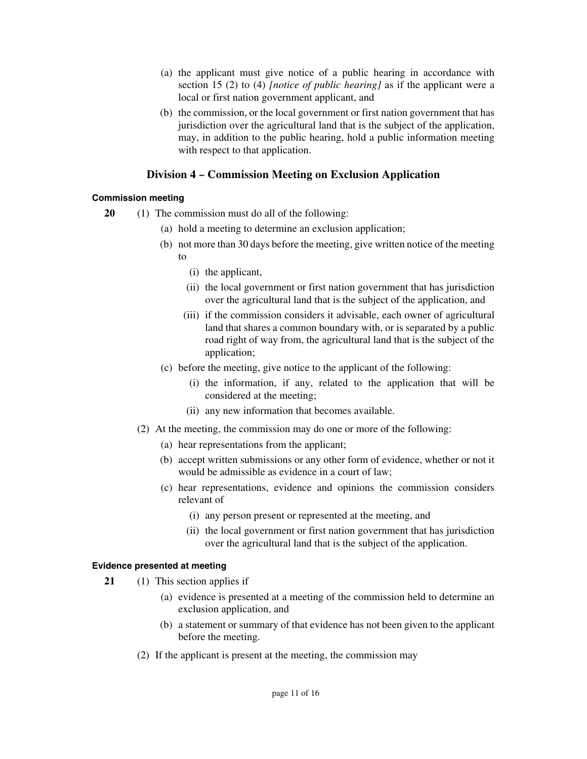- (a) the applicant must give notice of a public hearing in accordance with section 15 (2) to (4) *[notice of public hearing]* as if the applicant were a local or first nation government applicant, and
- (b) the commission, or the local government or first nation government that has jurisdiction over the agricultural land that is the subject of the application, may, in addition to the public hearing, hold a public information meeting with respect to that application.

# **Division 4 – Commission Meeting on Exclusion Application**

# **Commission meeting**

- **20** (1) The commission must do all of the following:
	- (a) hold a meeting to determine an exclusion application;
	- (b) not more than 30 days before the meeting, give written notice of the meeting to
		- (i) the applicant,
		- (ii) the local government or first nation government that has jurisdiction over the agricultural land that is the subject of the application, and
		- (iii) if the commission considers it advisable, each owner of agricultural land that shares a common boundary with, or is separated by a public road right of way from, the agricultural land that is the subject of the application;
	- (c) before the meeting, give notice to the applicant of the following:
		- (i) the information, if any, related to the application that will be considered at the meeting;
		- (ii) any new information that becomes available.
	- (2) At the meeting, the commission may do one or more of the following:
		- (a) hear representations from the applicant;
		- (b) accept written submissions or any other form of evidence, whether or not it would be admissible as evidence in a court of law;
		- (c) hear representations, evidence and opinions the commission considers relevant of
			- (i) any person present or represented at the meeting, and
			- (ii) the local government or first nation government that has jurisdiction over the agricultural land that is the subject of the application.

#### **Evidence presented at meeting**

- **21** (1) This section applies if
	- (a) evidence is presented at a meeting of the commission held to determine an exclusion application, and
	- (b) a statement or summary of that evidence has not been given to the applicant before the meeting.
	- (2) If the applicant is present at the meeting, the commission may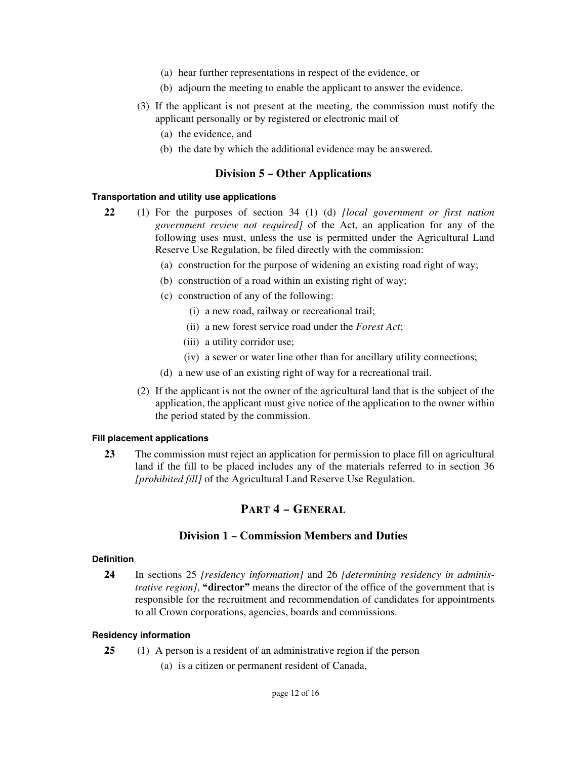- (a) hear further representations in respect of the evidence, or
- (b) adjourn the meeting to enable the applicant to answer the evidence.
- (3) If the applicant is not present at the meeting, the commission must notify the applicant personally or by registered or electronic mail of
	- (a) the evidence, and
	- (b) the date by which the additional evidence may be answered.

# **Division 5 – Other Applications**

#### **Transportation and utility use applications**

- **22** (1) For the purposes of section 34 (1) (d) *[local government or first nation government review not required]* of the Act, an application for any of the following uses must, unless the use is permitted under the Agricultural Land Reserve Use Regulation, be filed directly with the commission:
	- (a) construction for the purpose of widening an existing road right of way;
	- (b) construction of a road within an existing right of way;
	- (c) construction of any of the following:
		- (i) a new road, railway or recreational trail;
		- (ii) a new forest service road under the *Forest Act*;
		- (iii) a utility corridor use;
		- (iv) a sewer or water line other than for ancillary utility connections;
	- (d) a new use of an existing right of way for a recreational trail.
	- (2) If the applicant is not the owner of the agricultural land that is the subject of the application, the applicant must give notice of the application to the owner within the period stated by the commission.

#### **Fill placement applications**

**23** The commission must reject an application for permission to place fill on agricultural land if the fill to be placed includes any of the materials referred to in section 36 *[prohibited fill]* of the Agricultural Land Reserve Use Regulation.

# **PART 4 – GENERAL**

# **Division 1 – Commission Members and Duties**

#### **Definition**

**24** In sections 25 *[residency information]* and 26 *[determining residency in administrative region]*, **"director"** means the director of the office of the government that is responsible for the recruitment and recommendation of candidates for appointments to all Crown corporations, agencies, boards and commissions.

#### **Residency information**

- **25** (1) A person is a resident of an administrative region if the person
	- (a) is a citizen or permanent resident of Canada,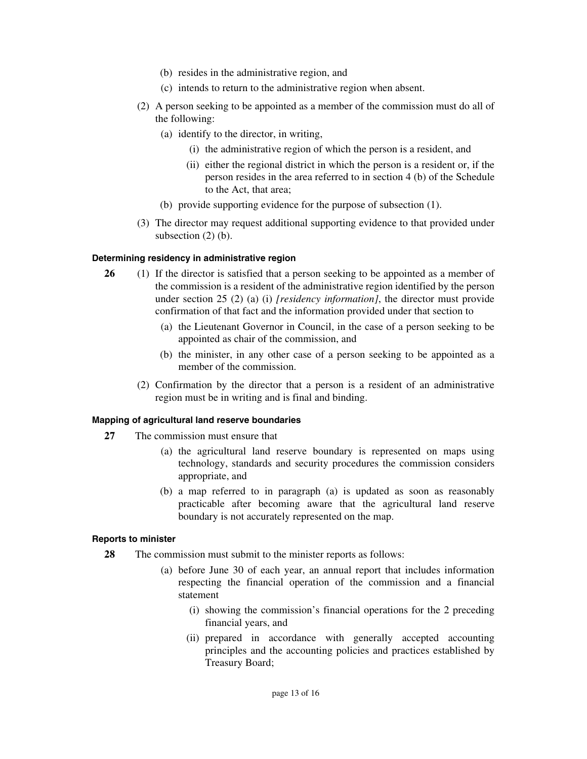- (b) resides in the administrative region, and
- (c) intends to return to the administrative region when absent.
- (2) A person seeking to be appointed as a member of the commission must do all of the following:
	- (a) identify to the director, in writing,
		- (i) the administrative region of which the person is a resident, and
		- (ii) either the regional district in which the person is a resident or, if the person resides in the area referred to in section 4 (b) of the Schedule to the Act, that area;
	- (b) provide supporting evidence for the purpose of subsection (1).
- (3) The director may request additional supporting evidence to that provided under subsection  $(2)$  (b).

#### **Determining residency in administrative region**

- **26** (1) If the director is satisfied that a person seeking to be appointed as a member of the commission is a resident of the administrative region identified by the person under section 25 (2) (a) (i) *[residency information]*, the director must provide confirmation of that fact and the information provided under that section to
	- (a) the Lieutenant Governor in Council, in the case of a person seeking to be appointed as chair of the commission, and
	- (b) the minister, in any other case of a person seeking to be appointed as a member of the commission.
	- (2) Confirmation by the director that a person is a resident of an administrative region must be in writing and is final and binding.

#### **Mapping of agricultural land reserve boundaries**

- **27** The commission must ensure that
	- (a) the agricultural land reserve boundary is represented on maps using technology, standards and security procedures the commission considers appropriate, and
	- (b) a map referred to in paragraph (a) is updated as soon as reasonably practicable after becoming aware that the agricultural land reserve boundary is not accurately represented on the map.

#### **Reports to minister**

- **28** The commission must submit to the minister reports as follows:
	- (a) before June 30 of each year, an annual report that includes information respecting the financial operation of the commission and a financial statement
		- (i) showing the commission's financial operations for the 2 preceding financial years, and
		- (ii) prepared in accordance with generally accepted accounting principles and the accounting policies and practices established by Treasury Board;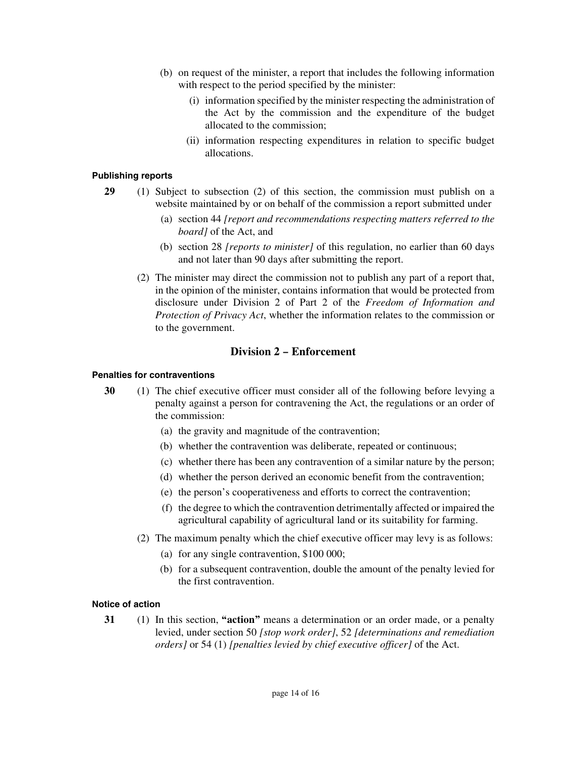- (b) on request of the minister, a report that includes the following information with respect to the period specified by the minister:
	- (i) information specified by the minister respecting the administration of the Act by the commission and the expenditure of the budget allocated to the commission;
	- (ii) information respecting expenditures in relation to specific budget allocations.

#### **Publishing reports**

- **29** (1) Subject to subsection (2) of this section, the commission must publish on a website maintained by or on behalf of the commission a report submitted under
	- (a) section 44 *[report and recommendations respecting matters referred to the board]* of the Act, and
	- (b) section 28 *[reports to minister]* of this regulation, no earlier than 60 days and not later than 90 days after submitting the report.
	- (2) The minister may direct the commission not to publish any part of a report that, in the opinion of the minister, contains information that would be protected from disclosure under Division 2 of Part 2 of the *Freedom of Information and Protection of Privacy Act*, whether the information relates to the commission or to the government.

# **Division 2 – Enforcement**

### **Penalties for contraventions**

- **30** (1) The chief executive officer must consider all of the following before levying a penalty against a person for contravening the Act, the regulations or an order of the commission:
	- (a) the gravity and magnitude of the contravention;
	- (b) whether the contravention was deliberate, repeated or continuous;
	- (c) whether there has been any contravention of a similar nature by the person;
	- (d) whether the person derived an economic benefit from the contravention;
	- (e) the person's cooperativeness and efforts to correct the contravention;
	- (f) the degree to which the contravention detrimentally affected or impaired the agricultural capability of agricultural land or its suitability for farming.
	- (2) The maximum penalty which the chief executive officer may levy is as follows:
		- (a) for any single contravention, \$100 000;
		- (b) for a subsequent contravention, double the amount of the penalty levied for the first contravention.

# **Notice of action**

**31** (1) In this section, **"action"** means a determination or an order made, or a penalty levied, under section 50 *[stop work order]*, 52 *[determinations and remediation orders]* or 54 (1) *[penalties levied by chief executive officer]* of the Act.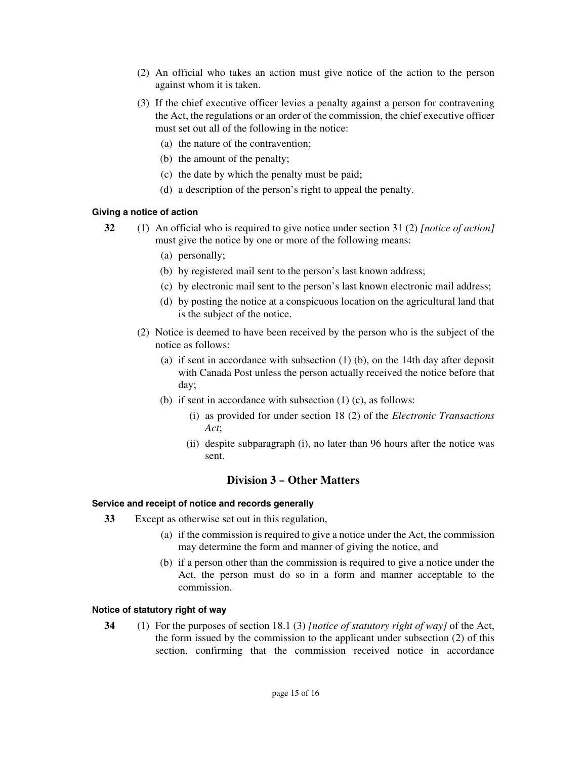- (2) An official who takes an action must give notice of the action to the person against whom it is taken.
- (3) If the chief executive officer levies a penalty against a person for contravening the Act, the regulations or an order of the commission, the chief executive officer must set out all of the following in the notice:
	- (a) the nature of the contravention;
	- (b) the amount of the penalty;
	- (c) the date by which the penalty must be paid;
	- (d) a description of the person's right to appeal the penalty.

#### **Giving a notice of action**

- **32** (1) An official who is required to give notice under section 31 (2) *[notice of action]* must give the notice by one or more of the following means:
	- (a) personally;
	- (b) by registered mail sent to the person's last known address;
	- (c) by electronic mail sent to the person's last known electronic mail address;
	- (d) by posting the notice at a conspicuous location on the agricultural land that is the subject of the notice.
	- (2) Notice is deemed to have been received by the person who is the subject of the notice as follows:
		- (a) if sent in accordance with subsection (1) (b), on the 14th day after deposit with Canada Post unless the person actually received the notice before that day;
		- (b) if sent in accordance with subsection  $(1)$  (c), as follows:
			- (i) as provided for under section 18 (2) of the *Electronic Transactions Act*;
			- (ii) despite subparagraph (i), no later than 96 hours after the notice was sent.

# **Division 3 – Other Matters**

#### **Service and receipt of notice and records generally**

- **33** Except as otherwise set out in this regulation,
	- (a) if the commission is required to give a notice under the Act, the commission may determine the form and manner of giving the notice, and
	- (b) if a person other than the commission is required to give a notice under the Act, the person must do so in a form and manner acceptable to the commission.

#### **Notice of statutory right of way**

**34** (1) For the purposes of section 18.1 (3) *[notice of statutory right of way]* of the Act, the form issued by the commission to the applicant under subsection (2) of this section, confirming that the commission received notice in accordance